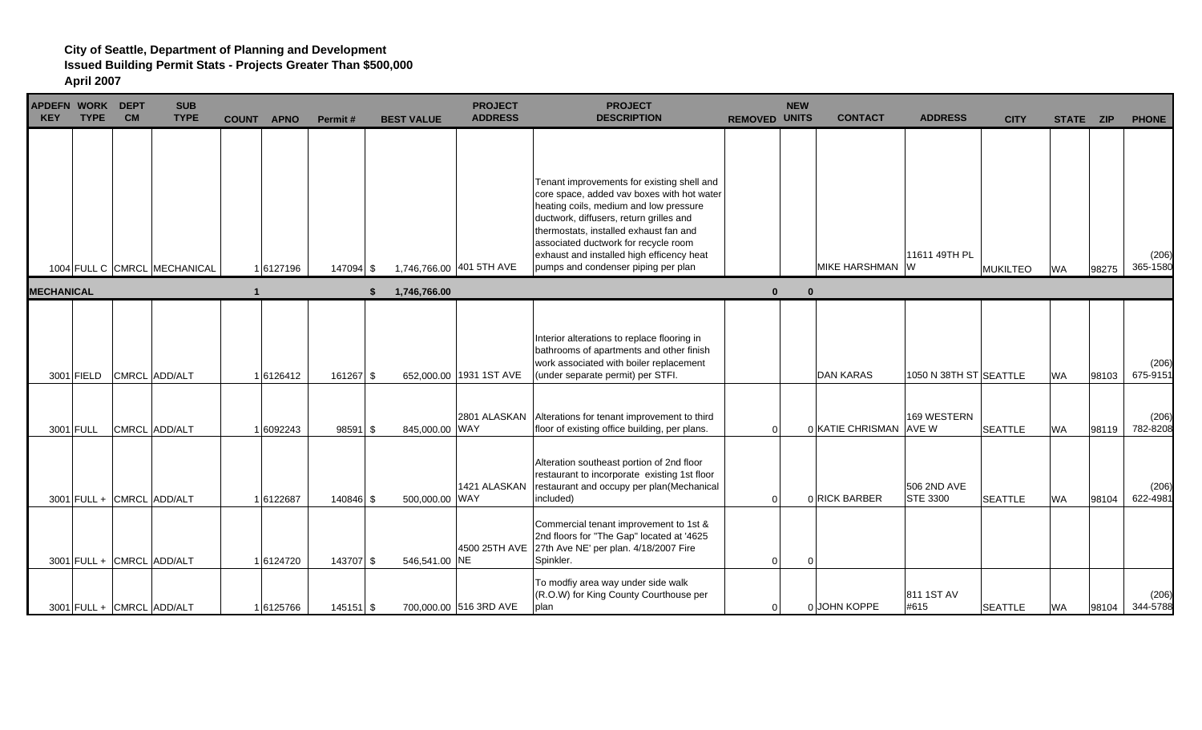| <b>APDEFN WORK</b><br><b>KEY</b> | <b>TYPE</b> | <b>DEPT</b><br><b>CM</b>  | <b>SUB</b><br><b>TYPE</b>    | <b>COUNT</b> | <b>APNO</b> | Permit#     | <b>BEST VALUE</b> | <b>PROJECT</b><br><b>ADDRESS</b> | <b>PROJECT</b><br><b>DESCRIPTION</b>                                                                                                                                                                                                                                                                                                                | <b>REMOVED UNITS</b> | <b>NEW</b> | <b>CONTACT</b>         | <b>ADDRESS</b>                 | <b>CITY</b>     | STATE ZIP |       | <b>PHONE</b>      |
|----------------------------------|-------------|---------------------------|------------------------------|--------------|-------------|-------------|-------------------|----------------------------------|-----------------------------------------------------------------------------------------------------------------------------------------------------------------------------------------------------------------------------------------------------------------------------------------------------------------------------------------------------|----------------------|------------|------------------------|--------------------------------|-----------------|-----------|-------|-------------------|
|                                  |             |                           | 1004 FULL C CMRCL MECHANICAL |              | 1 6127196   | 147094 \$   |                   | 1,746,766.00 401 5TH AVE         | Tenant improvements for existing shell and<br>core space, added vav boxes with hot water<br>heating coils, medium and low pressure<br>ductwork, diffusers, return grilles and<br>thermostats, installed exhaust fan and<br>associated ductwork for recycle room<br>exhaust and installed high efficency heat<br>pumps and condenser piping per plan |                      |            | MIKE HARSHMAN W        | 11611 49TH PL                  | <b>MUKILTEO</b> | <b>WA</b> | 98275 | (206)<br>365-1580 |
| <b>MECHANICAL</b>                |             |                           |                              |              |             |             | 1,746,766.00      |                                  |                                                                                                                                                                                                                                                                                                                                                     | $\mathbf{0}$         | $\Omega$   |                        |                                |                 |           |       |                   |
|                                  | 3001 FIELD  |                           | CMRCL ADD/ALT                |              | 16126412    | 161267 \$   |                   | 652,000.00 1931 1ST AVE          | Interior alterations to replace flooring in<br>bathrooms of apartments and other finish<br>work associated with boiler replacement<br>(under separate permit) per STFI.                                                                                                                                                                             |                      |            | <b>DAN KARAS</b>       | 1050 N 38TH ST SEATTLE         |                 | <b>WA</b> | 98103 | (206)<br>675-9151 |
|                                  | 3001 FULL   |                           | CMRCL ADD/ALT                |              | 1 6092243   | 98591 \$    | 845,000.00 WAY    |                                  | 2801 ALASKAN Alterations for tenant improvement to third<br>floor of existing office building, per plans.                                                                                                                                                                                                                                           | $\Omega$             |            | 0 KATIE CHRISMAN AVE W | 169 WESTERN                    | <b>SEATTLE</b>  | <b>WA</b> | 98119 | (206)<br>782-8208 |
|                                  |             | 3001 FULL + CMRCL ADD/ALT |                              |              | 16122687    | 140846 \$   | 500,000.00 WAY    | 1421 ALASKAN                     | Alteration southeast portion of 2nd floor<br>restaurant to incorporate existing 1st floor<br>restaurant and occupy per plan(Mechanical<br>included)                                                                                                                                                                                                 | $\Omega$             |            | 0 RICK BARBER          | 506 2ND AVE<br><b>STE 3300</b> | <b>SEATTLE</b>  | <b>WA</b> | 98104 | (206)<br>622-4981 |
|                                  |             | 3001 FULL + CMRCL ADD/ALT |                              |              | 1 6124720   | 143707 \$   | 546,541.00 NE     |                                  | Commercial tenant improvement to 1st &<br>2nd floors for "The Gap" located at '4625<br>4500 25TH AVE 27th Ave NE' per plan. 4/18/2007 Fire<br>Spinkler.                                                                                                                                                                                             | $\Omega$             | $\Omega$   |                        |                                |                 |           |       |                   |
|                                  |             | 3001 FULL + CMRCL ADD/ALT |                              |              | 16125766    | $145151$ \$ |                   | 700,000.00 516 3RD AVE           | To modfiy area way under side walk<br>(R.O.W) for King County Courthouse per<br>plan                                                                                                                                                                                                                                                                | 0                    |            | 0 JOHN KOPPE           | 811 1ST AV<br>#615             | <b>SEATTLE</b>  | <b>WA</b> | 98104 | (206)<br>344-5788 |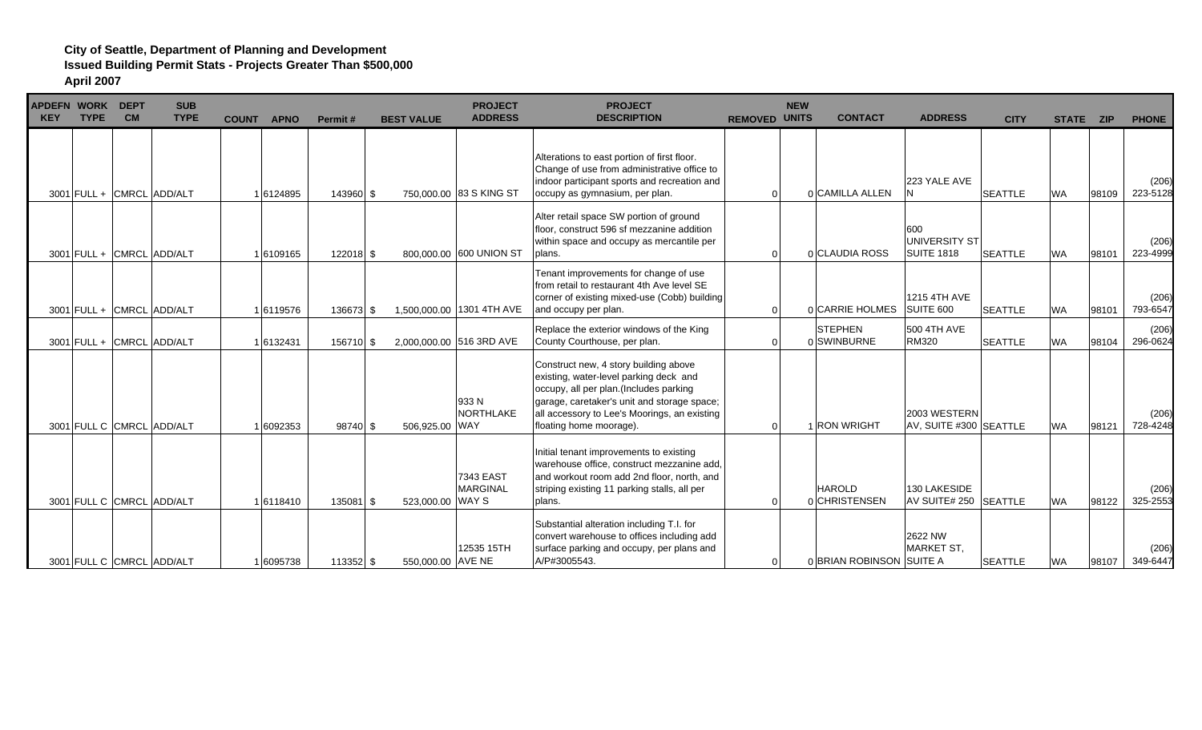| APDEFN WORK DEPT<br><b>KEY</b> | <b>TYPE</b> | <b>CM</b> | <b>SUB</b><br><b>TYPE</b> | <b>COUNT</b> | <b>APNO</b> | Permit#     | <b>BEST VALUE</b> | <b>PROJECT</b><br><b>ADDRESS</b>    | <b>PROJECT</b><br><b>DESCRIPTION</b>                                                                                                                                                                                                                | <b>REMOVED UNITS</b> | <b>NEW</b> | <b>CONTACT</b>                 | <b>ADDRESS</b>                            | <b>CITY</b>    | STATE ZIP |       | <b>PHONE</b>      |
|--------------------------------|-------------|-----------|---------------------------|--------------|-------------|-------------|-------------------|-------------------------------------|-----------------------------------------------------------------------------------------------------------------------------------------------------------------------------------------------------------------------------------------------------|----------------------|------------|--------------------------------|-------------------------------------------|----------------|-----------|-------|-------------------|
|                                |             |           | 3001 FULL + CMRCL ADD/ALT |              | 1 6124895   | 143960 \$   |                   | 750,000,00 83 S KING ST             | Alterations to east portion of first floor.<br>Change of use from administrative office to<br>indoor participant sports and recreation and<br>occupy as gymnasium, per plan.                                                                        |                      |            | 0 CAMILLA ALLEN                | 223 YALE AVE                              | <b>SEATTLE</b> | <b>WA</b> | 98109 | (206)<br>223-5128 |
|                                |             |           | 3001 FULL + CMRCL ADD/ALT |              | 1 6109165   | 122018 \$   |                   | 800,000,00 600 UNION ST             | Alter retail space SW portion of ground<br>floor, construct 596 sf mezzanine addition<br>within space and occupy as mercantile per<br>plans.                                                                                                        |                      |            | 0 CLAUDIA ROSS                 | 600<br>UNIVERSITY ST<br><b>SUITE 1818</b> | <b>SEATTLE</b> | <b>WA</b> | 98101 | (206)<br>223-4999 |
|                                |             |           | 3001 FULL + CMRCL ADD/ALT |              | 1 6119576   | 136673 \$   |                   | 1,500,000.00 1301 4TH AVE           | Tenant improvements for change of use<br>from retail to restaurant 4th Ave level SE<br>corner of existing mixed-use (Cobb) building<br>and occupy per plan.                                                                                         | $\Omega$             |            | 0 CARRIE HOLMES                | 1215 4TH AVE<br>SUITE 600                 | <b>SEATTLE</b> | <b>WA</b> | 98101 | (206)<br>793-6547 |
|                                |             |           | 3001 FULL + CMRCL ADD/ALT |              | 1 6132431   | 156710 \$   |                   | 2,000,000.00 516 3RD AVE            | Replace the exterior windows of the King<br>County Courthouse, per plan.                                                                                                                                                                            |                      |            | <b>STEPHEN</b><br>0 SWINBURNE  | 500 4TH AVE<br><b>RM320</b>               | <b>SEATTLE</b> | <b>WA</b> | 98104 | (206)<br>296-0624 |
|                                |             |           | 3001 FULL C CMRCL ADD/ALT |              | 1 6092353   | $98740$ \$  | 506,925.00 WAY    | 933 N<br>NORTHLAKE                  | Construct new, 4 story building above<br>existing, water-level parking deck and<br>occupy, all per plan.(Includes parking<br>garage, caretaker's unit and storage space;<br>all accessory to Lee's Moorings, an existing<br>floating home moorage). | $\Omega$             |            | 1 RON WRIGHT                   | 2003 WESTERN<br>AV, SUITE #300 SEATTLE    |                | <b>WA</b> | 98121 | (206)<br>728-4248 |
|                                |             |           | 3001 FULL C CMRCL ADD/ALT |              | 1 6118410   | $135081$ \$ | 523,000.00 WAY S  | <b>7343 EAST</b><br><b>MARGINAL</b> | Initial tenant improvements to existing<br>warehouse office, construct mezzanine add,<br>and workout room add 2nd floor, north, and<br>striping existing 11 parking stalls, all per<br>blans.                                                       | $\Omega$             |            | <b>HAROLD</b><br>0 CHRISTENSEN | 130 LAKESIDE<br>AV SUITE# 250 SEATTLE     |                | <b>WA</b> | 98122 | (206)<br>325-2553 |
|                                |             |           | 3001 FULL C CMRCL ADD/ALT |              | 1 6095738   | $113352$ \$ | 550,000.00 AVE NE | 12535 15TH                          | Substantial alteration including T.I. for<br>convert warehouse to offices including add<br>surface parking and occupy, per plans and<br>A/P#3005543.                                                                                                | $\Omega$             |            | 0 BRIAN ROBINSON SUITE A       | 2622 NW<br><b>MARKET ST,</b>              | <b>SEATTLE</b> | <b>WA</b> | 98107 | (206)<br>349-6447 |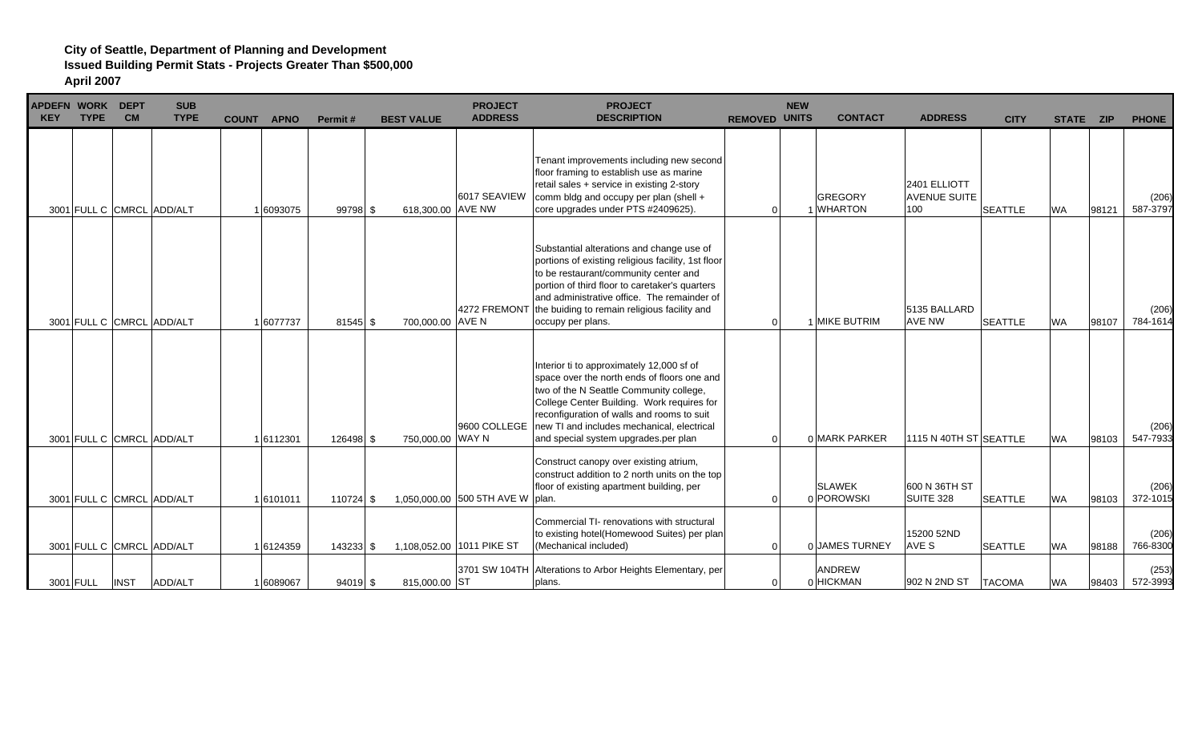| <b>KEY</b> | <b>APDEFN WORK</b><br><b>TYPE</b> | <b>DEPT</b><br><b>CM</b> | <b>SUB</b><br><b>TYPE</b> | <b>COUNT</b> | <b>APNO</b> | Permit#     | <b>BEST VALUE</b> | <b>PROJECT</b><br><b>ADDRESS</b>   | <b>PROJECT</b><br><b>DESCRIPTION</b>                                                                                                                                                                                                                                                                                        | <b>REMOVED</b> | <b>NEW</b><br><b>UNITS</b> | <b>CONTACT</b>              | <b>ADDRESS</b>                             | <b>CITY</b>    | STATE ZIP |       | <b>PHONE</b>      |
|------------|-----------------------------------|--------------------------|---------------------------|--------------|-------------|-------------|-------------------|------------------------------------|-----------------------------------------------------------------------------------------------------------------------------------------------------------------------------------------------------------------------------------------------------------------------------------------------------------------------------|----------------|----------------------------|-----------------------------|--------------------------------------------|----------------|-----------|-------|-------------------|
|            |                                   |                          | 3001 FULL C CMRCL ADD/ALT |              | 1 6093075   | 99798 \$    | 618,300.00 AVE NW | 6017 SEAVIEW                       | Tenant improvements including new second<br>floor framing to establish use as marine<br>retail sales + service in existing 2-story<br>comm bldg and occupy per plan (shell +<br>core upgrades under PTS #2409625).                                                                                                          | $\Omega$       |                            | <b>GREGORY</b><br>1 WHARTON | 2401 ELLIOTT<br><b>AVENUE SUITE</b><br>100 | <b>SEATTLE</b> | <b>WA</b> | 98121 | (206)<br>587-3797 |
|            |                                   |                          | 3001 FULL C CMRCL ADD/ALT |              | 1 6077737   | $81545$ \$  | 700,000.00 AVE N  |                                    | Substantial alterations and change use of<br>portions of existing religious facility, 1st floor<br>to be restaurant/community center and<br>portion of third floor to caretaker's quarters<br>and administrative office. The remainder of<br>4272 FREMONT the buiding to remain religious facility and<br>occupy per plans. | $\Omega$       |                            | 1 MIKE BUTRIM               | 5135 BALLARD<br><b>AVE NW</b>              | <b>SEATTLE</b> | <b>WA</b> | 98107 | (206)<br>784-1614 |
|            |                                   |                          | 3001 FULL C CMRCL ADD/ALT |              | 1 6112301   | 126498 \$   | 750,000.00 WAY N  | 9600 COLLEGE                       | Interior ti to approximately 12,000 sf of<br>space over the north ends of floors one and<br>two of the N Seattle Community college,<br>College Center Building. Work requires for<br>reconfiguration of walls and rooms to suit<br>new TI and includes mechanical, electrical<br>and special system upgrades.per plan       | $\Omega$       |                            | 0 MARK PARKER               | 1115 N 40TH ST SEATTLE                     |                | <b>WA</b> | 98103 | (206)<br>547-7933 |
|            |                                   |                          | 3001 FULL C CMRCL ADD/ALT |              | 1 6101011   | $110724$ \$ |                   | 1.050.000.00 500 5TH AVE W   plan. | Construct canopy over existing atrium,<br>construct addition to 2 north units on the top<br>floor of existing apartment building, per                                                                                                                                                                                       | $\Omega$       |                            | <b>SLAWEK</b><br>0 POROWSKI | 600 N 36TH ST<br>SUITE 328                 | <b>SEATTLE</b> | <b>WA</b> | 98103 | (206)<br>372-1015 |
|            |                                   |                          | 3001 FULL C CMRCL ADD/ALT |              | 1 6124359   | 143233 \$   |                   | 1,108,052.00 1011 PIKE ST          | Commercial TI- renovations with structural<br>to existing hotel(Homewood Suites) per plan<br>(Mechanical included)                                                                                                                                                                                                          | $\Omega$       |                            | 0 JAMES TURNEY              | 15200 52ND<br>AVE S                        | <b>SEATTLE</b> | <b>WA</b> | 98188 | (206)<br>766-8300 |
|            | 3001 FULL                         | <b>INST</b>              | ADD/ALT                   |              | 1 6089067   | $94019$ \$  | 815,000.00 ST     |                                    | 3701 SW 104TH Alterations to Arbor Heights Elementary, per<br>plans.                                                                                                                                                                                                                                                        | $\Omega$       |                            | <b>ANDREW</b><br>0 HICKMAN  | 902 N 2ND ST                               | <b>TACOMA</b>  | <b>WA</b> | 98403 | (253)<br>572-3993 |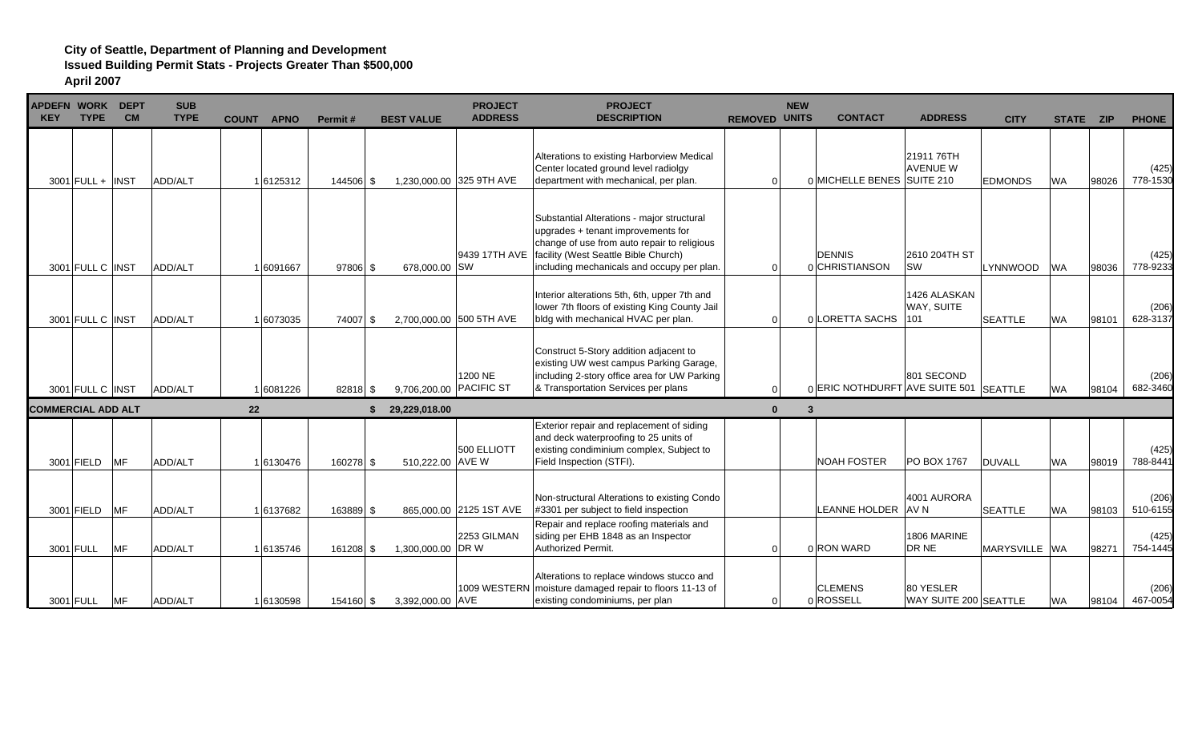| APDEFN WORK DEPT<br><b>KEY</b> | <b>TYPE</b>        | <b>CM</b>  | <b>SUB</b><br><b>TYPE</b> |    | <b>COUNT APNO</b> | Permit#   | <b>BEST VALUE</b> | <b>PROJECT</b><br><b>ADDRESS</b>   | <b>PROJECT</b><br><b>DESCRIPTION</b>                                                                                                                                                                                  | <b>REMOVED</b> | <b>NEW</b><br><b>UNITS</b> | <b>CONTACT</b>                         | <b>ADDRESS</b>                     | <b>CITY</b>    | STATE ZIP |       | <b>PHONE</b>      |
|--------------------------------|--------------------|------------|---------------------------|----|-------------------|-----------|-------------------|------------------------------------|-----------------------------------------------------------------------------------------------------------------------------------------------------------------------------------------------------------------------|----------------|----------------------------|----------------------------------------|------------------------------------|----------------|-----------|-------|-------------------|
|                                | $3001$ FULL + INST |            | ADD/ALT                   |    | 1 6125312         | 144506 \$ |                   | 1,230,000.00 325 9TH AVE           | Alterations to existing Harborview Medical<br>Center located ground level radiolgy<br>department with mechanical, per plan.                                                                                           | $\Omega$       |                            | 0 MICHELLE BENES SUITE 210             | 21911 76TH<br><b>AVENUE W</b>      | <b>EDMONDS</b> | <b>WA</b> | 98026 | (425)<br>778-1530 |
|                                | 3001 FULL C INST   |            | <b>ADD/ALT</b>            |    | 1 6091667         | 97806 \$  | 678,000.00 SW     | 9439 17TH AVE                      | Substantial Alterations - major structural<br>upgrades + tenant improvements for<br>change of use from auto repair to religious<br>facility (West Seattle Bible Church)<br>including mechanicals and occupy per plan. | $\Omega$       |                            | <b>DENNIS</b><br>0 CHRISTIANSON        | 2610 204TH ST<br><b>SW</b>         | LYNNWOOD       | <b>WA</b> | 98036 | (425)<br>778-9233 |
|                                | 3001 FULL C INST   |            | ADD/ALT                   |    | 1 6073035         | 74007 \$  |                   | 2,700,000.00 500 5TH AVE           | Interior alterations 5th, 6th, upper 7th and<br>lower 7th floors of existing King County Jail<br>bldg with mechanical HVAC per plan.                                                                                  | 0              |                            | 0 LORETTA SACHS                        | 1426 ALASKAN<br>WAY, SUITE<br>101  | <b>SEATTLE</b> | <b>WA</b> | 98101 | (206)<br>628-3137 |
|                                | 3001 FULL C INST   |            | ADD/ALT                   |    | 1 6081226         | 82818 \$  |                   | 1200 NE<br>9,706,200.00 PACIFIC ST | Construct 5-Story addition adjacent to<br>existing UW west campus Parking Garage,<br>including 2-story office area for UW Parking<br>& Transportation Services per plans                                              | $\Omega$       |                            | 0 ERIC NOTHDURFT AVE SUITE 501 SEATTLE | 801 SECOND                         |                | <b>WA</b> | 98104 | (206)<br>682-3460 |
| ICOMMERCIAL ADD ALT            |                    |            |                           | 22 |                   |           | 29,229,018.00     |                                    |                                                                                                                                                                                                                       | $\Omega$       | 3                          |                                        |                                    |                |           |       |                   |
|                                | 3001 FIELD         | <b>MF</b>  | ADD/ALT                   |    | 1 6130476         | 160278 \$ | 510,222.00 AVE W  | 500 ELLIOTT                        | Exterior repair and replacement of siding<br>and deck waterproofing to 25 units of<br>existing condiminium complex, Subject to<br>Field Inspection (STFI).                                                            |                |                            | <b>NOAH FOSTER</b>                     | PO BOX 1767                        | <b>DUVALL</b>  | <b>WA</b> | 98019 | (425)<br>788-8441 |
|                                | 3001 FIELD         | <b>MF</b>  | ADD/ALT                   |    | 1 6137682         | 163889 \$ |                   | 865,000.00 2125 1ST AVE            | Non-structural Alterations to existing Condo<br>#3301 per subject to field inspection                                                                                                                                 |                |                            | LEANNE HOLDER                          | 4001 AURORA<br>AV N                | <b>SEATTLE</b> | <b>WA</b> | 98103 | (206)<br>510-6155 |
|                                | 3001 FULL          | MF         | ADD/ALT                   |    | 1 6135746         | 161208 \$ | 1,300,000.00 DR W | 2253 GILMAN                        | Repair and replace roofing materials and<br>siding per EHB 1848 as an Inspector<br><b>Authorized Permit.</b>                                                                                                          | $\Omega$       |                            | 0 RON WARD                             | 1806 MARINE<br>DR NE               | MARYSVILLE WA  |           | 98271 | (425)<br>754-1445 |
|                                | 3001 FULL          | <b>IMF</b> | ADD/ALT                   |    | 1 6130598         | 154160 \$ | 3,392,000.00 AVE  |                                    | Alterations to replace windows stucco and<br>1009 WESTERN moisture damaged repair to floors 11-13 of<br>existing condominiums, per plan                                                                               |                |                            | <b>CLEMENS</b><br>0 ROSSELL            | 80 YESLER<br>WAY SUITE 200 SEATTLE |                | <b>WA</b> | 98104 | (206)<br>467-0054 |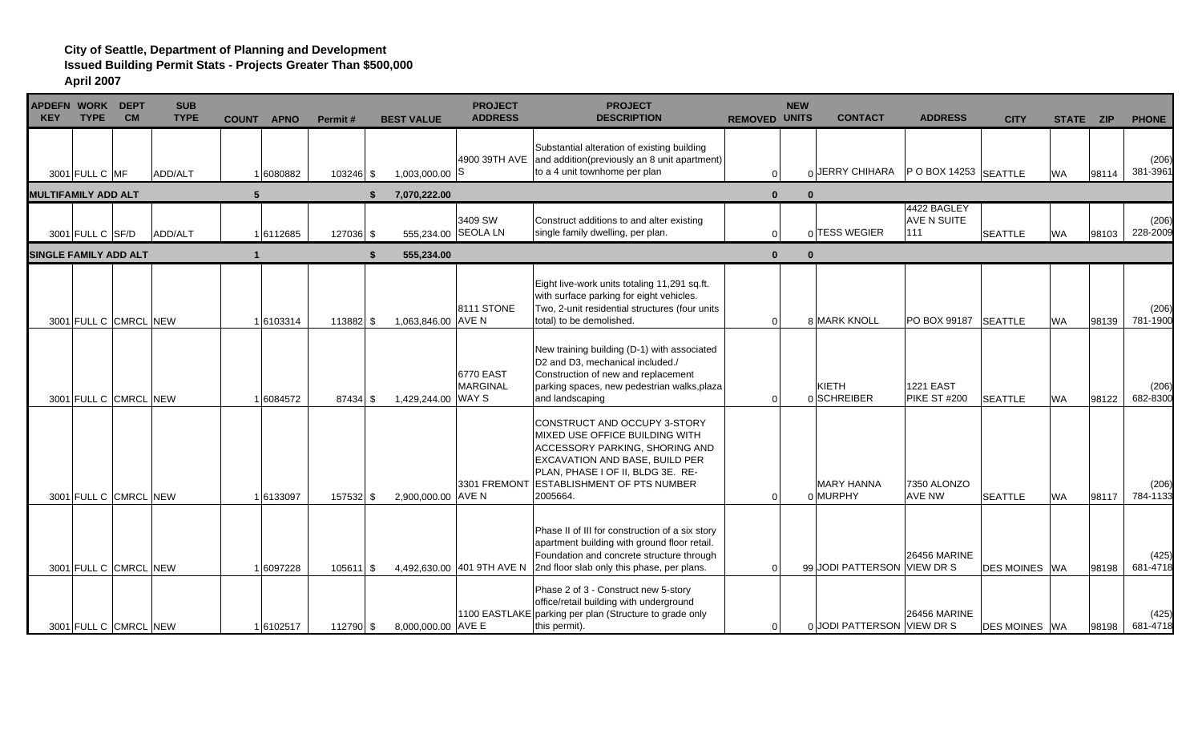| <b>APDEFN WORK DEPT</b><br><b>KEY</b> | <b>TYPE</b>           | <b>CM</b> | <b>SUB</b><br><b>TYPE</b> | <b>COUNT</b> | <b>APNO</b> | Permit#     | <b>BEST VALUE</b>   | <b>PROJECT</b><br><b>ADDRESS</b> | <b>PROJECT</b><br><b>DESCRIPTION</b>                                                                                                                                                                                                          | <b>REMOVED UNITS</b> | <b>NEW</b>   | <b>CONTACT</b>                            | <b>ADDRESS</b>                           | <b>CITY</b>           | STATE ZIP |       | <b>PHONE</b>      |
|---------------------------------------|-----------------------|-----------|---------------------------|--------------|-------------|-------------|---------------------|----------------------------------|-----------------------------------------------------------------------------------------------------------------------------------------------------------------------------------------------------------------------------------------------|----------------------|--------------|-------------------------------------------|------------------------------------------|-----------------------|-----------|-------|-------------------|
|                                       | 3001 FULL C MF        |           | ADD/ALT                   |              | 1 6080882   | $103246$ \$ | $1,003,000.00$ S    |                                  | Substantial alteration of existing building<br>4900 39TH AVE and addition(previously an 8 unit apartment)<br>to a 4 unit townhome per plan                                                                                                    | $\Omega$             |              | $_0$ JERRY CHIHARA   PO BOX 14253 SEATTLE |                                          |                       | <b>WA</b> | 98114 | (206)<br>381-3961 |
| <b>MULTIFAMILY ADD ALT</b>            |                       |           |                           | 5            |             | \$          | 7,070,222.00        |                                  |                                                                                                                                                                                                                                               | $\mathbf{0}$         | $\mathbf{0}$ |                                           |                                          |                       |           |       |                   |
|                                       | 3001 FULL C SF/D      |           | ADD/ALT                   |              | 16112685    | 127036 \$   | 555,234.00 SEOLA LN | 3409 SW                          | Construct additions to and alter existing<br>single family dwelling, per plan.                                                                                                                                                                |                      |              | 0 TESS WEGIER                             | 4422 BAGLEY<br><b>AVE N SUITE</b><br>111 | <b>SEATTLE</b>        | <b>WA</b> | 98103 | (206)<br>228-2009 |
| <b>SINGLE FAMILY ADD ALT</b>          |                       |           |                           | $\mathbf 1$  |             | \$          | 555,234.00          |                                  |                                                                                                                                                                                                                                               | $\bf{0}$             | $\Omega$     |                                           |                                          |                       |           |       |                   |
|                                       | 3001 FULL C CMRCL NEW |           |                           |              | 1 6103314   | 113882 \$   | 1,063,846.00 AVE N  | <b>8111 STONE</b>                | Eight live-work units totaling 11,291 sq.ft.<br>with surface parking for eight vehicles.<br>Two, 2-unit residential structures (four units<br>total) to be demolished.                                                                        | $\overline{0}$       |              | 8 MARK KNOLL                              | PO BOX 99187                             | <b>SEATTLE</b>        | <b>WA</b> | 98139 | (206)<br>781-1900 |
|                                       | 3001 FULL C CMRCL NEW |           |                           |              | 1 6084572   | $87434$ \$  | 1,429,244.00 WAY S  | 6770 EAST<br><b>MARGINAL</b>     | New training building (D-1) with associated<br>D2 and D3, mechanical included./<br>Construction of new and replacement<br>parking spaces, new pedestrian walks, plaza<br>and landscaping                                                      | $\Omega$             |              | KIETH<br>0 SCHREIBER                      | <b>1221 EAST</b><br>PIKE ST #200         | <b>SEATTLE</b>        | <b>WA</b> | 98122 | (206)<br>682-8300 |
|                                       | 3001 FULL C CMRCL NEW |           |                           |              | 1 6133097   | 157532 \$   | 2,900,000.00 AVE N  |                                  | CONSTRUCT AND OCCUPY 3-STORY<br>MIXED USE OFFICE BUILDING WITH<br><b>ACCESSORY PARKING, SHORING AND</b><br><b>EXCAVATION AND BASE, BUILD PER</b><br>PLAN, PHASE I OF II, BLDG 3E. RE-<br>3301 FREMONT ESTABLISHMENT OF PTS NUMBER<br>2005664. |                      |              | <b>MARY HANNA</b><br>0 MURPHY             | 7350 ALONZO<br><b>AVE NW</b>             | <b>SEATTLE</b>        | <b>WA</b> | 98117 | (206)<br>784-1133 |
|                                       | 3001 FULL C CMRCL NEW |           |                           |              | 1 6097228   |             |                     |                                  | Phase II of III for construction of a six story<br>apartment building with ground floor retail.<br>Foundation and concrete structure through<br>4,492,630.00 401 9TH AVE N 2nd floor slab only this phase, per plans.                         |                      |              | 99 JODI PATTERSON VIEW DR S               | <b>26456 MARINE</b>                      | <b>DES MOINES IWA</b> |           | 98198 | (425)<br>681-4718 |
|                                       | 3001 FULL C CMRCL NEW |           |                           |              | 16102517    | 112790 \$   | 8,000,000.00 AVE E  |                                  | Phase 2 of 3 - Construct new 5-story<br>office/retail building with underground<br>1100 EASTLAKE parking per plan (Structure to grade only<br>this permit).                                                                                   |                      |              | 0 JODI PATTERSON VIEW DR S                | <b>26456 MARINE</b>                      | <b>DES MOINES WA</b>  |           | 98198 | (425)<br>681-4718 |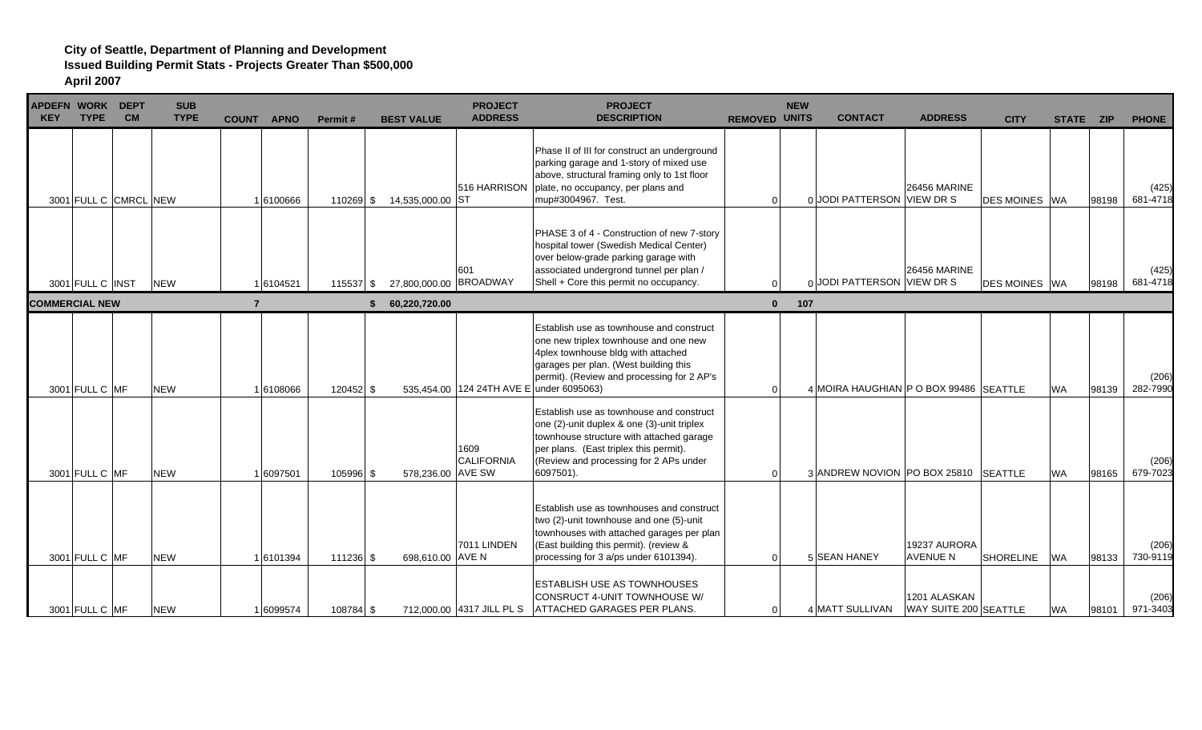| <b>KEY</b> | <b>TYPE</b>           | APDEFN WORK DEPT<br><b>CM</b> | <b>SUB</b><br><b>TYPE</b> | <b>COUNT</b><br><b>APNO</b> | Permit#     | <b>BEST VALUE</b>      | <b>PROJECT</b><br><b>ADDRESS</b>         | <b>PROJECT</b><br><b>DESCRIPTION</b>                                                                                                                                                                                                | <b>NEW</b><br><b>REMOVED UNITS</b> | <b>CONTACT</b>                         | <b>ADDRESS</b>                        | <b>CITY</b>          | STATE ZIP |       | <b>PHONE</b>      |
|------------|-----------------------|-------------------------------|---------------------------|-----------------------------|-------------|------------------------|------------------------------------------|-------------------------------------------------------------------------------------------------------------------------------------------------------------------------------------------------------------------------------------|------------------------------------|----------------------------------------|---------------------------------------|----------------------|-----------|-------|-------------------|
|            |                       | 3001 FULL C CMRCL NEW         |                           | 1 6100666                   | 110269 \$   | 14,535,000.00 ST       | 516 HARRISON                             | Phase II of III for construct an underground<br>parking garage and 1-story of mixed use<br>above, structural framing only to 1st floor<br>plate, no occupancy, per plans and<br>mup#3004967. Test.                                  | $\overline{0}$                     | 0 JODI PATTERSON VIEW DR S             | <b>26456 MARINE</b>                   | <b>DES MOINES</b> WA |           | 98198 | (425)<br>681-4718 |
|            | 3001 FULL C INST      |                               | <b>NEW</b>                | 16104521                    | $115537$ \$ | 27,800,000.00 BROADWAY | 601                                      | PHASE 3 of 4 - Construction of new 7-story<br>hospital tower (Swedish Medical Center)<br>over below-grade parking garage with<br>associated undergrond tunnel per plan /<br>Shell + Core this permit no occupancy.                  |                                    | $_0$ JODI PATTERSON VIEW DR S          | <b>26456 MARINE</b>                   | <b>DES MOINES</b> WA |           | 98198 | (425)<br>681-4718 |
|            | <b>COMMERCIAL NEW</b> |                               |                           | $\overline{7}$              |             | 60.220.720.00          |                                          |                                                                                                                                                                                                                                     | $\mathbf{0}$<br>107                |                                        |                                       |                      |           |       |                   |
|            | 3001 FULL C MF        |                               | <b>NEW</b>                | 1 6108066                   | 120452 \$   |                        | 535.454.00 124 24TH AVE E under 6095063) | Establish use as townhouse and construct<br>one new triplex townhouse and one new<br>4plex townhouse bldg with attached<br>garages per plan. (West building this<br>permit). (Review and processing for 2 AP's                      | $\Omega$                           | 4 MOIRA HAUGHIAN P O BOX 99486 SEATTLE |                                       |                      | <b>WA</b> | 98139 | (206)<br>282-7990 |
|            | 3001 FULL C MF        |                               | <b>NEW</b>                | 6097501                     | 105996 \$   | 578,236.00 AVE SW      | 1609<br><b>CALIFORNIA</b>                | Establish use as townhouse and construct<br>one (2)-unit duplex & one (3)-unit triplex<br>townhouse structure with attached garage<br>per plans. (East triplex this permit).<br>(Review and processing for 2 APs under<br>6097501). |                                    | 3 ANDREW NOVION PO BOX 25810 SEATTLE   |                                       |                      | <b>WA</b> | 98165 | (206)<br>679-7023 |
|            | 3001 FULL C MF        |                               | <b>NEW</b>                | 16101394                    | 111236 \$   | 698,610.00 AVE N       | 7011 LINDEN                              | Establish use as townhouses and construct<br>two (2)-unit townhouse and one (5)-unit<br>townhouses with attached garages per plan<br>(East building this permit). (review &<br>processing for 3 a/ps under 6101394).                | $\Omega$                           | 5 SEAN HANEY                           | 19237 AURORA<br><b>AVENUE N</b>       | <b>SHORELINE</b>     | <b>WA</b> | 98133 | (206)<br>730-9119 |
|            | 3001 FULL C MF        |                               | <b>NEW</b>                | 1 6099574                   | 108784 \$   |                        | 712,000.00 4317 JILL PL S                | <b>ESTABLISH USE AS TOWNHOUSES</b><br>CONSRUCT 4-UNIT TOWNHOUSE W/<br>ATTACHED GARAGES PER PLANS.                                                                                                                                   |                                    | 4 MATT SULLIVAN                        | 1201 ALASKAN<br>WAY SUITE 200 SEATTLE |                      | <b>WA</b> | 98101 | (206)<br>971-3403 |